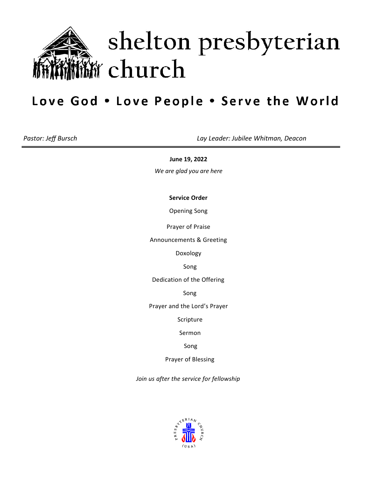

# shelton presbyterian **M** church

## Love God . Love People . Serve the World

*Pastor: Jeff Bursch Lay Leader: Jubilee Whitman, Deacon*

**June 19, 2022**

*We are glad you are here*

**Service Order**

Opening Song

Prayer of Praise

Announcements & Greeting

Doxology

Song

Dedication of the Offering

Song

Prayer and the Lord's Prayer

Scripture

Sermon

Song

Prayer of Blessing

*Join us after the service for fellowship*

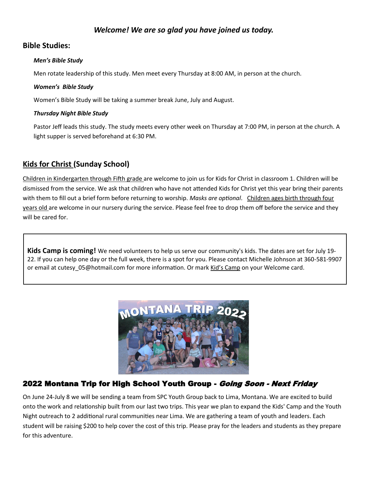## *Welcome! We are so glad you have joined us today.*

## **Bible Studies:**

#### *Men's Bible Study*

Men rotate leadership of this study. Men meet every Thursday at 8:00 AM, in person at the church.

#### *Women's Bible Study*

Women's Bible Study will be taking a summer break June, July and August.

#### *Thursday Night Bible Study*

Pastor Jeff leads this study. The study meets every other week on Thursday at 7:00 PM, in person at the church. A light supper is served beforehand at 6:30 PM.

## **Kids for Christ (Sunday School)**

Children in Kindergarten through Fifth grade are welcome to join us for Kids for Christ in classroom 1. Children will be dismissed from the service. We ask that children who have not attended Kids for Christ yet this year bring their parents with them to fill out a brief form before returning to worship. *Masks are optional*. Children ages birth through four years old are welcome in our nursery during the service. Please feel free to drop them off before the service and they will be cared for.

**Kids Camp is coming!** We need volunteers to help us serve our community's kids. The dates are set for July 19- 22. If you can help one day or the full week, there is a spot for you. Please contact Michelle Johnson at 360-581-9907 or email at cutesy\_05@hotmail.com for more information. Or mark Kid's Camp on your Welcome card.



## 2022 Montana Trip for High School Youth Group - Going Soon - Next Friday

On June 24-July 8 we will be sending a team from SPC Youth Group back to Lima, Montana. We are excited to build onto the work and relationship built from our last two trips. This year we plan to expand the Kids' Camp and the Youth Night outreach to 2 additional rural communities near Lima. We are gathering a team of youth and leaders. Each student will be raising \$200 to help cover the cost of this trip. Please pray for the leaders and students as they prepare for this adventure.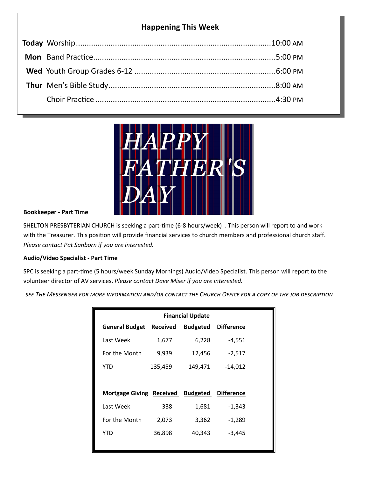## **Happening This Week**



#### **Bookkeeper - Part Time**

SHELTON PRESBYTERIAN CHURCH is seeking a part-time (6-8 hours/week) . This person will report to and work with the Treasurer. This position will provide financial services to church members and professional church staff. *Please contact Pat Sanborn if you are interested.*

#### **Audio/Video Specialist - Part Time**

SPC is seeking a part-time (5 hours/week Sunday Mornings) Audio/Video Specialist. This person will report to the volunteer director of AV services. *Please contact Dave Miser if you are interested.*

*see The Messenger for more information and/or contact the Church Office for a copy of the job description*

| <b>Financial Update</b>           |                 |                 |                   |  |  |
|-----------------------------------|-----------------|-----------------|-------------------|--|--|
| <b>General Budget</b>             | <b>Received</b> | <b>Budgeted</b> | <b>Difference</b> |  |  |
| Last Week                         | 1,677           | 6,228           | $-4,551$          |  |  |
| For the Month                     | 9,939           | 12,456          | $-2,517$          |  |  |
| YTD                               | 135,459         | 149,471         | $-14,012$         |  |  |
|                                   |                 |                 |                   |  |  |
| Mortgage Giving Received Budgeted |                 |                 | <b>Difference</b> |  |  |
| Last Week                         | 338             | 1,681           | $-1,343$          |  |  |
| For the Month                     | 2,073           | 3,362           | $-1,289$          |  |  |
| YTD                               | 36,898          | 40,343          | -3,445            |  |  |
|                                   |                 |                 |                   |  |  |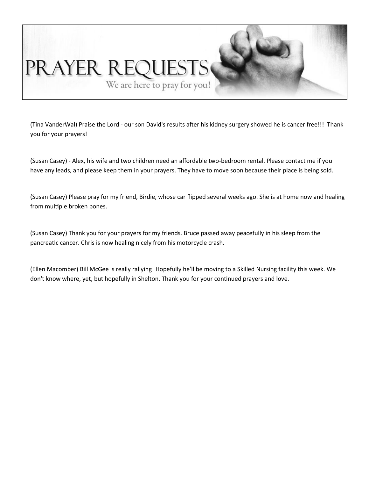

(Tina VanderWal) Praise the Lord - our son David's results after his kidney surgery showed he is cancer free!!! Thank you for your prayers!

(Susan Casey) - Alex, his wife and two children need an affordable two-bedroom rental. Please contact me if you have any leads, and please keep them in your prayers. They have to move soon because their place is being sold.

(Susan Casey) Please pray for my friend, Birdie, whose car flipped several weeks ago. She is at home now and healing from multiple broken bones.

(Susan Casey) Thank you for your prayers for my friends. Bruce passed away peacefully in his sleep from the pancreatic cancer. Chris is now healing nicely from his motorcycle crash.

(Ellen Macomber) Bill McGee is really rallying! Hopefully he'll be moving to a Skilled Nursing facility this week. We don't know where, yet, but hopefully in Shelton. Thank you for your continued prayers and love.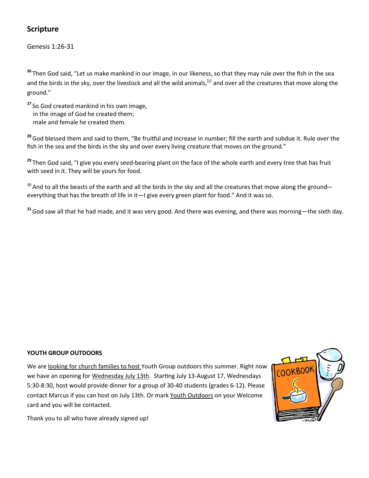## **Scripture**

Genesis 1:26-31

**<sup>26</sup>** Then God said, "Let us make mankind in our image, in our likeness, so that they may rule over the fish in the sea and the birds in the sky, over the livestock and all the wild animals,<sup>[[a\]](https://www.biblegateway.com/passage/?search=Genesis+1%3A26-31&version=NIV#fen-NIV-26a)</sup> and over all the creatures that move along the ground."

**<sup>27</sup>** So God created mankind in his own image, in the image of God he created them; male and female he created them.

**<sup>28</sup>**God blessed them and said to them, "Be fruitful and increase in number; fill the earth and subdue it. Rule over the fish in the sea and the birds in the sky and over every living creature that moves on the ground."

**<sup>29</sup>** Then God said, "I give you every seed-bearing plant on the face of the whole earth and every tree that has fruit with seed in it. They will be yours for food.

 $30$  And to all the beasts of the earth and all the birds in the sky and all the creatures that move along the ground everything that has the breath of life in it—I give every green plant for food." And it was so.

**<sup>31</sup>**God saw all that he had made, and it was very good. And there was evening, and there was morning—the sixth day.

### **YOUTH GROUP OUTDOORS**

We are looking for church families to host Youth Group outdoors this summer. Right now we have an opening for Wednesday July 13th. Starting July 13-August 17, Wednesdays 5:30-8:30, host would provide dinner for a group of 30-40 students (grades 6-12). Please contact Marcus if you can host on July 13th. Or mark Youth Outdoors on your Welcome card and you will be contacted.



Thank you to all who have already signed up!